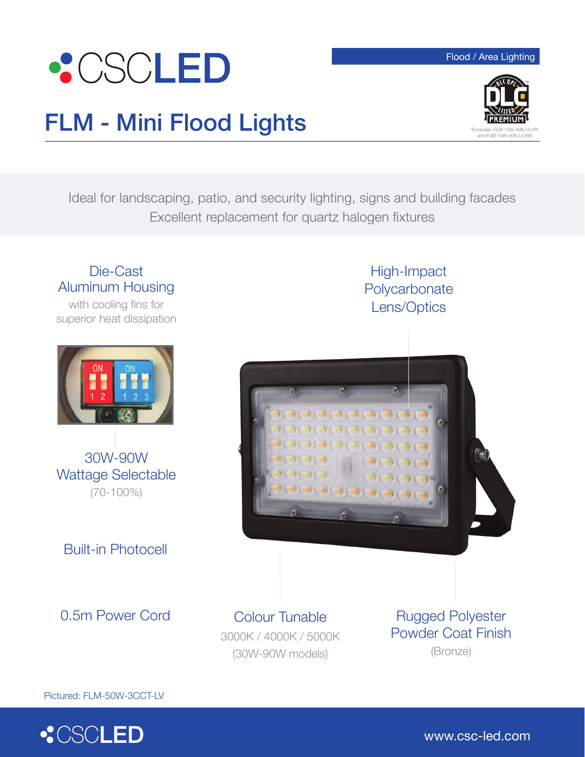

## Flood / Area Lighting



## FLM - Mini Flood Lights

Ideal for landscaping, patio, and security lighting, signs and building facades Excellent replacement for quartz halogen fixtures

## Die-Cast Aluminum Housing

with cooling fins for superior heat dissipation



Wattage Selectable (70-100%)

Built-in Photocell

0.5m Power Cord

Colour Tunable 3000K / 4000K / 5000K (30W-90W models)

 $\begin{pmatrix} -1 & 0 \\ 0 & 0 \end{pmatrix} \begin{pmatrix} -1 & 0 \\ 0 & 0 \end{pmatrix} \begin{pmatrix} -1 & 0 \\ 0 & 0 \end{pmatrix} \begin{pmatrix} -1 & 0 \\ 0 & 0 \end{pmatrix}$ 

Rugged Polyester Powder Coat Finish (Bronze)

High-Impact **Polycarbonate** Lens/Optics

Pictured: FLM-50W-3CCT-LV